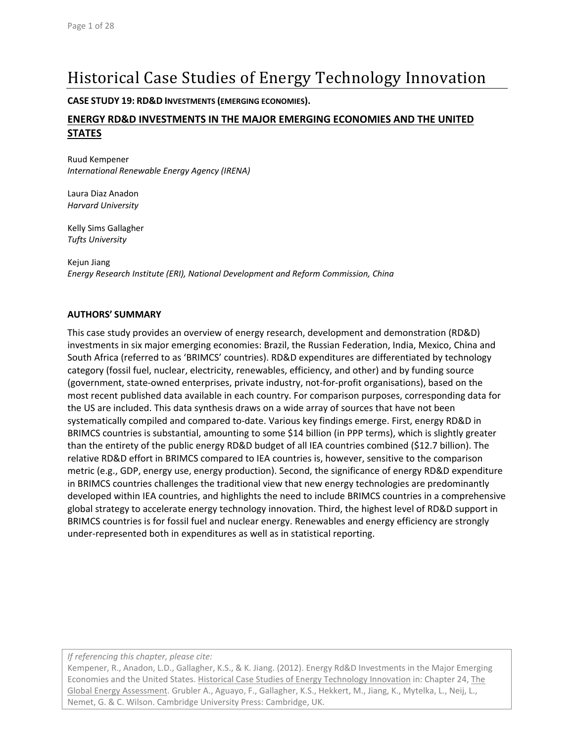# Historical Case Studies of Energy Technology Innovation

**CASE STUDY 19: RD&D INVESTMENTS (EMERGING ECONOMIES).**

# **ENERGY RD&D INVESTMENTS IN THE MAJOR EMERGING ECONOMIES AND THE UNITED STATES**

Ruud Kempener *International Renewable Energy Agency (IRENA)*

Laura Diaz Anadon *Harvard University*

Kelly Sims Gallagher *Tufts University*

Kejun Jiang *Energy Research Institute (ERI), National Development and Reform Commission, China*

#### **AUTHORS' SUMMARY**

This case study provides an overview of energy research, development and demonstration (RD&D) investments in six major emerging economies: Brazil, the Russian Federation, India, Mexico, China and South Africa (referred to as 'BRIMCS' countries). RD&D expenditures are differentiated by technology category (fossil fuel, nuclear, electricity, renewables, efficiency, and other) and by funding source (government, state‐owned enterprises, private industry, not‐for‐profit organisations), based on the most recent published data available in each country. For comparison purposes, corresponding data for the US are included. This data synthesis draws on a wide array of sources that have not been systematically compiled and compared to-date. Various key findings emerge. First, energy RD&D in BRIMCS countries is substantial, amounting to some \$14 billion (in PPP terms), which is slightly greater than the entirety of the public energy RD&D budget of all IEA countries combined (\$12.7 billion). The relative RD&D effort in BRIMCS compared to IEA countries is, however, sensitive to the comparison metric (e.g., GDP, energy use, energy production). Second, the significance of energy RD&D expenditure in BRIMCS countries challenges the traditional view that new energy technologies are predominantly developed within IEA countries, and highlights the need to include BRIMCS countries in a comprehensive global strategy to accelerate energy technology innovation. Third, the highest level of RD&D support in BRIMCS countries is for fossil fuel and nuclear energy. Renewables and energy efficiency are strongly under‐represented both in expenditures as well as in statistical reporting.

*If referencing this chapter, please cite:*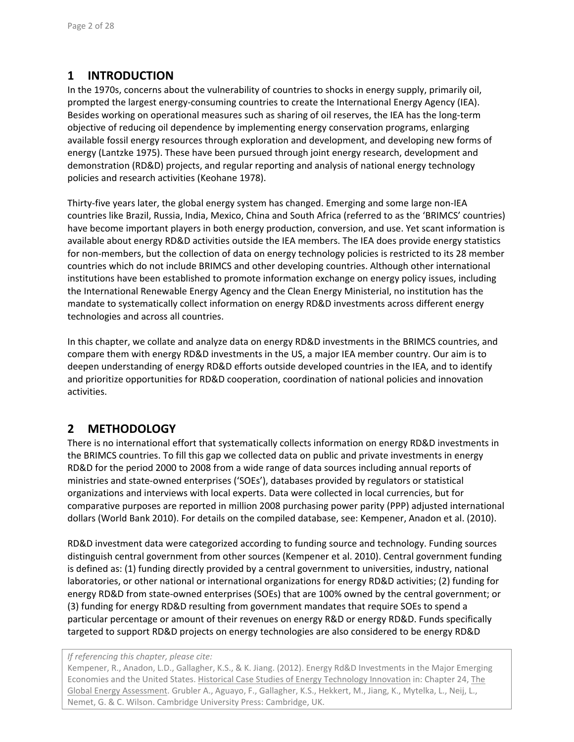# **1 INTRODUCTION**

In the 1970s, concerns about the vulnerability of countries to shocks in energy supply, primarily oil, prompted the largest energy‐consuming countries to create the International Energy Agency (IEA). Besides working on operational measures such as sharing of oil reserves, the IEA has the long‐term objective of reducing oil dependence by implementing energy conservation programs, enlarging available fossil energy resources through exploration and development, and developing new forms of energy (Lantzke 1975). These have been pursued through joint energy research, development and demonstration (RD&D) projects, and regular reporting and analysis of national energy technology policies and research activities (Keohane 1978).

Thirty‐five years later, the global energy system has changed. Emerging and some large non‐IEA countries like Brazil, Russia, India, Mexico, China and South Africa (referred to as the 'BRIMCS' countries) have become important players in both energy production, conversion, and use. Yet scant information is available about energy RD&D activities outside the IEA members. The IEA does provide energy statistics for non-members, but the collection of data on energy technology policies is restricted to its 28 member countries which do not include BRIMCS and other developing countries. Although other international institutions have been established to promote information exchange on energy policy issues, including the International Renewable Energy Agency and the Clean Energy Ministerial, no institution has the mandate to systematically collect information on energy RD&D investments across different energy technologies and across all countries.

In this chapter, we collate and analyze data on energy RD&D investments in the BRIMCS countries, and compare them with energy RD&D investments in the US, a major IEA member country. Our aim is to deepen understanding of energy RD&D efforts outside developed countries in the IEA, and to identify and prioritize opportunities for RD&D cooperation, coordination of national policies and innovation activities.

# **2 METHODOLOGY**

There is no international effort that systematically collects information on energy RD&D investments in the BRIMCS countries. To fill this gap we collected data on public and private investments in energy RD&D for the period 2000 to 2008 from a wide range of data sources including annual reports of ministries and state‐owned enterprises ('SOEs'), databases provided by regulators or statistical organizations and interviews with local experts. Data were collected in local currencies, but for comparative purposes are reported in million 2008 purchasing power parity (PPP) adjusted international dollars (World Bank 2010). For details on the compiled database, see: Kempener, Anadon et al. (2010).

RD&D investment data were categorized according to funding source and technology. Funding sources distinguish central government from other sources (Kempener et al. 2010). Central government funding is defined as: (1) funding directly provided by a central government to universities, industry, national laboratories, or other national or international organizations for energy RD&D activities; (2) funding for energy RD&D from state‐owned enterprises (SOEs) that are 100% owned by the central government; or (3) funding for energy RD&D resulting from government mandates that require SOEs to spend a particular percentage or amount of their revenues on energy R&D or energy RD&D. Funds specifically targeted to support RD&D projects on energy technologies are also considered to be energy RD&D

#### *If referencing this chapter, please cite:*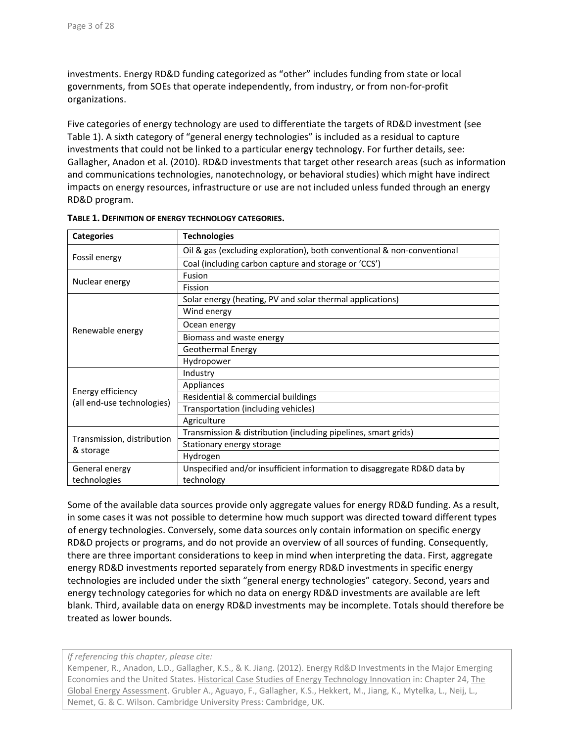investments. Energy RD&D funding categorized as "other" includes funding from state or local governments, from SOEs that operate independently, from industry, or from non‐for‐profit organizations.

Five categories of energy technology are used to differentiate the targets of RD&D investment (see Table 1). A sixth category of "general energy technologies" is included as a residual to capture investments that could not be linked to a particular energy technology. For further details, see: Gallagher, Anadon et al. (2010). RD&D investments that target other research areas (such as information and communications technologies, nanotechnology, or behavioral studies) which might have indirect impacts on energy resources, infrastructure or use are not included unless funded through an energy RD&D program.

| <b>Categories</b>                       | <b>Technologies</b>                                                      |  |  |  |  |  |  |  |
|-----------------------------------------|--------------------------------------------------------------------------|--|--|--|--|--|--|--|
|                                         | Oil & gas (excluding exploration), both conventional & non-conventional  |  |  |  |  |  |  |  |
| Fossil energy                           | Coal (including carbon capture and storage or 'CCS')                     |  |  |  |  |  |  |  |
| Nuclear energy                          | Fusion                                                                   |  |  |  |  |  |  |  |
|                                         | Fission                                                                  |  |  |  |  |  |  |  |
|                                         | Solar energy (heating, PV and solar thermal applications)                |  |  |  |  |  |  |  |
|                                         | Wind energy                                                              |  |  |  |  |  |  |  |
| Renewable energy                        | Ocean energy                                                             |  |  |  |  |  |  |  |
|                                         | Biomass and waste energy                                                 |  |  |  |  |  |  |  |
|                                         | <b>Geothermal Energy</b>                                                 |  |  |  |  |  |  |  |
|                                         | Hydropower                                                               |  |  |  |  |  |  |  |
|                                         | Industry                                                                 |  |  |  |  |  |  |  |
| Energy efficiency                       | Appliances                                                               |  |  |  |  |  |  |  |
| (all end-use technologies)              | Residential & commercial buildings                                       |  |  |  |  |  |  |  |
|                                         | Transportation (including vehicles)                                      |  |  |  |  |  |  |  |
|                                         | Agriculture                                                              |  |  |  |  |  |  |  |
|                                         | Transmission & distribution (including pipelines, smart grids)           |  |  |  |  |  |  |  |
| Transmission, distribution<br>& storage | Stationary energy storage                                                |  |  |  |  |  |  |  |
|                                         | Hydrogen                                                                 |  |  |  |  |  |  |  |
| General energy                          | Unspecified and/or insufficient information to disaggregate RD&D data by |  |  |  |  |  |  |  |
| technologies                            | technology                                                               |  |  |  |  |  |  |  |

Some of the available data sources provide only aggregate values for energy RD&D funding. As a result, in some cases it was not possible to determine how much support was directed toward different types of energy technologies. Conversely, some data sources only contain information on specific energy RD&D projects or programs, and do not provide an overview of all sources of funding. Consequently, there are three important considerations to keep in mind when interpreting the data. First, aggregate energy RD&D investments reported separately from energy RD&D investments in specific energy technologies are included under the sixth "general energy technologies" category. Second, years and energy technology categories for which no data on energy RD&D investments are available are left blank. Third, available data on energy RD&D investments may be incomplete. Totals should therefore be treated as lower bounds.

*If referencing this chapter, please cite:*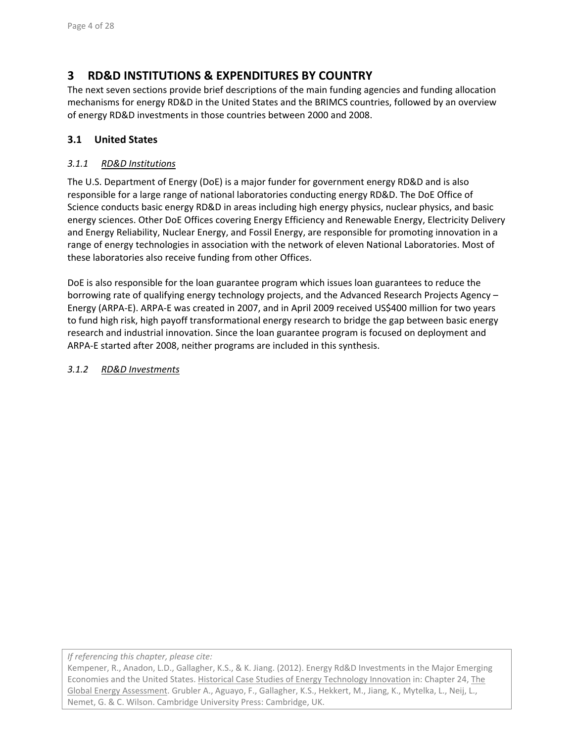# **3 RD&D INSTITUTIONS & EXPENDITURES BY COUNTRY**

The next seven sections provide brief descriptions of the main funding agencies and funding allocation mechanisms for energy RD&D in the United States and the BRIMCS countries, followed by an overview of energy RD&D investments in those countries between 2000 and 2008.

# **3.1 United States**

### *3.1.1 RD&D Institutions*

The U.S. Department of Energy (DoE) is a major funder for government energy RD&D and is also responsible for a large range of national laboratories conducting energy RD&D. The DoE Office of Science conducts basic energy RD&D in areas including high energy physics, nuclear physics, and basic energy sciences. Other DoE Offices covering Energy Efficiency and Renewable Energy, Electricity Delivery and Energy Reliability, Nuclear Energy, and Fossil Energy, are responsible for promoting innovation in a range of energy technologies in association with the network of eleven National Laboratories. Most of these laboratories also receive funding from other Offices.

DoE is also responsible for the loan guarantee program which issues loan guarantees to reduce the borrowing rate of qualifying energy technology projects, and the Advanced Research Projects Agency – Energy (ARPA‐E). ARPA‐E was created in 2007, and in April 2009 received US\$400 million for two years to fund high risk, high payoff transformational energy research to bridge the gap between basic energy research and industrial innovation. Since the loan guarantee program is focused on deployment and ARPA‐E started after 2008, neither programs are included in this synthesis.

#### *3.1.2 RD&D Investments*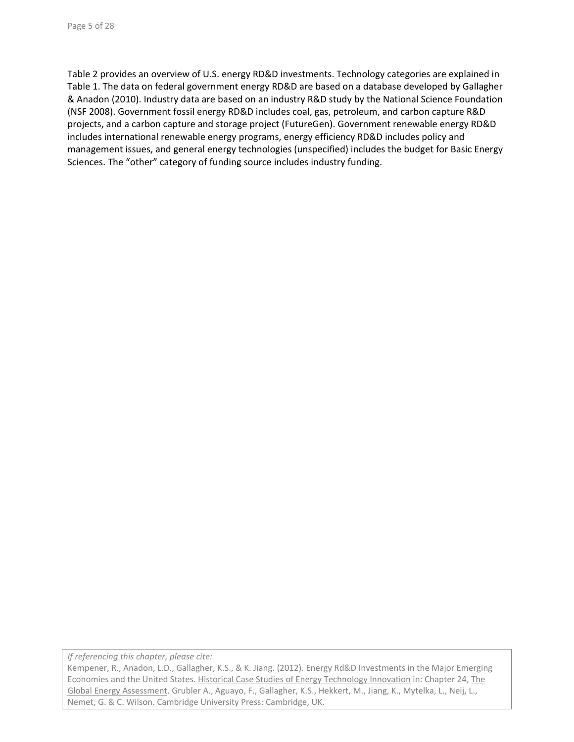Table 2 provides an overview of U.S. energy RD&D investments. Technology categories are explained in Table 1. The data on federal government energy RD&D are based on a database developed by Gallagher & Anadon (2010). Industry data are based on an industry R&D study by the National Science Foundation (NSF 2008). Government fossil energy RD&D includes coal, gas, petroleum, and carbon capture R&D projects, and a carbon capture and storage project (FutureGen). Government renewable energy RD&D includes international renewable energy programs, energy efficiency RD&D includes policy and management issues, and general energy technologies (unspecified) includes the budget for Basic Energy Sciences. The "other" category of funding source includes industry funding.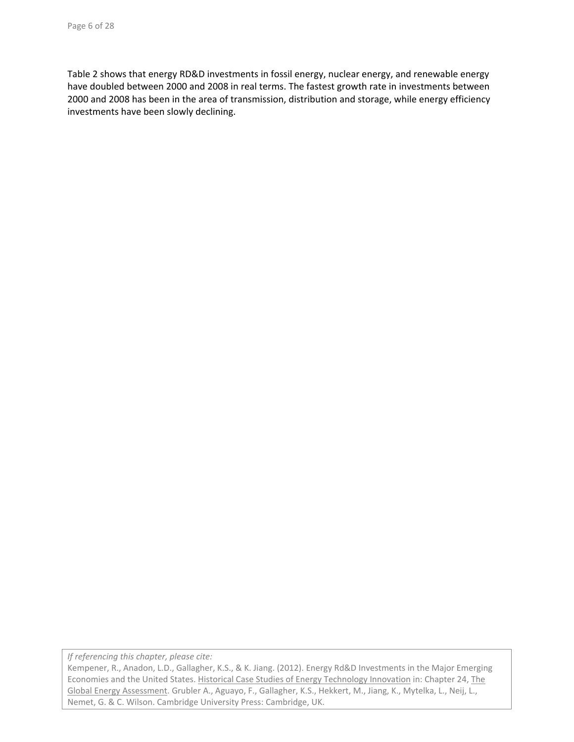Table 2 shows that energy RD&D investments in fossil energy, nuclear energy, and renewable energy have doubled between 2000 and 2008 in real terms. The fastest growth rate in investments between 2000 and 2008 has been in the area of transmission, distribution and storage, while energy efficiency investments have been slowly declining.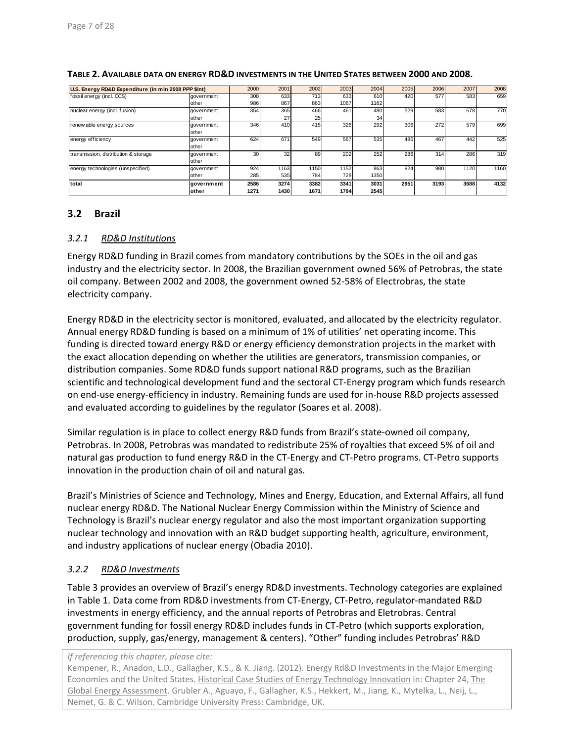| U.S. Energy RD&D Expenditure (in mln 2008 PPP \$Int) |               | 2000            | 2001 | 2002 | 2003 | 2004 | 2005 | 2006 | 2007 | 2008 |
|------------------------------------------------------|---------------|-----------------|------|------|------|------|------|------|------|------|
| fossil energy (incl. CCS)                            | aovernment    | 308             | 633  | 713  | 633  | 610  | 420  | 577  | 583  | 659  |
|                                                      | other         | 986             | 867  | 863  | 1067 | 1162 |      |      |      |      |
| nuclear energy (incl. fusion)                        | government    | 354             | 365  | 466  | 461  | 480  | 529  | 583  | 678  | 770  |
|                                                      | other         |                 | 27   | 25   |      | 34   |      |      |      |      |
| renew able energy sources                            | government    | 346             | 410  | 415  | 326  | 292  | 306  | 272  | 579  | 699  |
|                                                      | other         |                 |      |      |      |      |      |      |      |      |
| energy efficiency                                    | government    | 624             | 671  | 549  | 567  | 535  | 486  | 467  | 442  | 525  |
|                                                      | other         |                 |      |      |      |      |      |      |      |      |
| transmission, distribution & storage                 | aovernment    | 30 <sup>1</sup> | 32   | 89   | 202  | 252  | 286  | 314  | 286  | 319  |
|                                                      | other         |                 |      |      |      |      |      |      |      |      |
| energy technologies (unspecified)                    | aovernment    | 924             | 1163 | 1150 | 1152 | 863  | 924  | 980  | 1120 | 1160 |
|                                                      | other         | 285             | 535  | 784  | 728  | 1350 |      |      |      |      |
| total                                                | government    | 2586            | 3274 | 3382 | 3341 | 3031 | 2951 | 3193 | 3688 | 4132 |
|                                                      | <b>lother</b> | 1271            | 1430 | 1671 | 1794 | 2545 |      |      |      |      |

#### **TABLE 2. AVAILABLE DATA ON ENERGY RD&D INVESTMENTS IN THE UNITED STATES BETWEEN 2000 AND 2008.**

# **3.2 Brazil**

#### *3.2.1 RD&D Institutions*

Energy RD&D funding in Brazil comes from mandatory contributions by the SOEs in the oil and gas industry and the electricity sector. In 2008, the Brazilian government owned 56% of Petrobras, the state oil company. Between 2002 and 2008, the government owned 52‐58% of Electrobras, the state electricity company.

Energy RD&D in the electricity sector is monitored, evaluated, and allocated by the electricity regulator. Annual energy RD&D funding is based on a minimum of 1% of utilities' net operating income. This funding is directed toward energy R&D or energy efficiency demonstration projects in the market with the exact allocation depending on whether the utilities are generators, transmission companies, or distribution companies. Some RD&D funds support national R&D programs, such as the Brazilian scientific and technological development fund and the sectoral CT‐Energy program which funds research on end-use energy-efficiency in industry. Remaining funds are used for in-house R&D projects assessed and evaluated according to guidelines by the regulator (Soares et al. 2008).

Similar regulation is in place to collect energy R&D funds from Brazil's state‐owned oil company, Petrobras. In 2008, Petrobras was mandated to redistribute 25% of royalties that exceed 5% of oil and natural gas production to fund energy R&D in the CT‐Energy and CT‐Petro programs. CT‐Petro supports innovation in the production chain of oil and natural gas.

Brazil's Ministries of Science and Technology, Mines and Energy, Education, and External Affairs, all fund nuclear energy RD&D. The National Nuclear Energy Commission within the Ministry of Science and Technology is Brazil's nuclear energy regulator and also the most important organization supporting nuclear technology and innovation with an R&D budget supporting health, agriculture, environment, and industry applications of nuclear energy (Obadia 2010).

# *3.2.2 RD&D Investments*

Table 3 provides an overview of Brazil's energy RD&D investments. Technology categories are explained in Table 1. Data come from RD&D investments from CT-Energy, CT-Petro, regulator-mandated R&D investments in energy efficiency, and the annual reports of Petrobras and Eletrobras. Central government funding for fossil energy RD&D includes funds in CT‐Petro (which supports exploration, production, supply, gas/energy, management & centers). "Other" funding includes Petrobras' R&D

*If referencing this chapter, please cite:*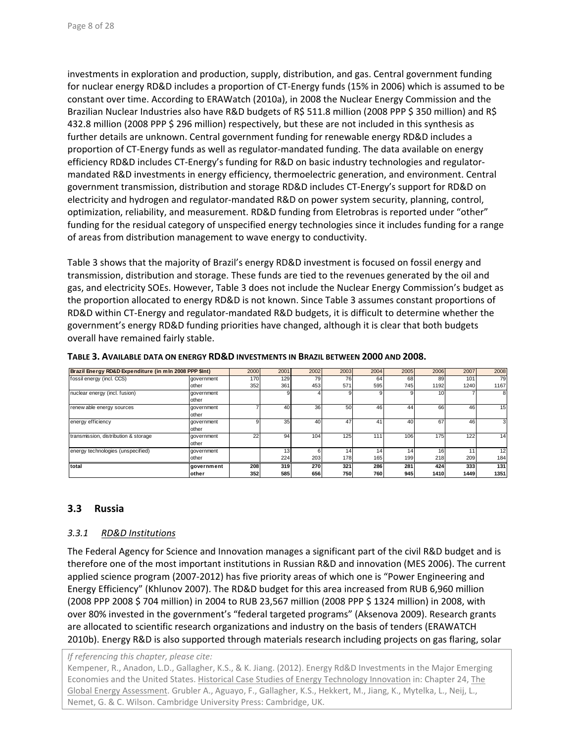investments in exploration and production, supply, distribution, and gas. Central government funding for nuclear energy RD&D includes a proportion of CT‐Energy funds (15% in 2006) which is assumed to be constant over time. According to ERAWatch (2010a), in 2008 the Nuclear Energy Commission and the Brazilian Nuclear Industries also have R&D budgets of R\$ 511.8 million (2008 PPP \$ 350 million) and R\$ 432.8 million (2008 PPP \$ 296 million) respectively, but these are not included in this synthesis as further details are unknown. Central government funding for renewable energy RD&D includes a proportion of CT‐Energy funds as well as regulator‐mandated funding. The data available on energy efficiency RD&D includes CT-Energy's funding for R&D on basic industry technologies and regulatormandated R&D investments in energy efficiency, thermoelectric generation, and environment. Central government transmission, distribution and storage RD&D includes CT‐Energy's support for RD&D on electricity and hydrogen and regulator‐mandated R&D on power system security, planning, control, optimization, reliability, and measurement. RD&D funding from Eletrobras is reported under "other" funding for the residual category of unspecified energy technologies since it includes funding for a range of areas from distribution management to wave energy to conductivity.

Table 3 shows that the majority of Brazil's energy RD&D investment is focused on fossil energy and transmission, distribution and storage. These funds are tied to the revenues generated by the oil and gas, and electricity SOEs. However, Table 3 does not include the Nuclear Energy Commission's budget as the proportion allocated to energy RD&D is not known. Since Table 3 assumes constant proportions of RD&D within CT-Energy and regulator-mandated R&D budgets, it is difficult to determine whether the government's energy RD&D funding priorities have changed, although it is clear that both budgets overall have remained fairly stable.

| Brazil Energy RD&D Expenditure (in mln 2008 PPP \$Int) |               | 2000 | 2001            | 2002     | 2003 | 2004 | 2005 | 2006            | 2007 | 2008            |
|--------------------------------------------------------|---------------|------|-----------------|----------|------|------|------|-----------------|------|-----------------|
| fossil energy (incl. CCS)                              | aovernment    | 170  | 129             | 79       | 76   | 64   | 68   | 89              | 101  | 79              |
|                                                        | other         | 352  | 361             | 453      | 571  | 595  | 745  | 1192            | 1240 | 1167            |
| nuclear energy (incl. fusion)                          | government    |      |                 |          |      |      |      | 10 <sup>1</sup> |      | 8               |
|                                                        | other         |      |                 |          |      |      |      |                 |      |                 |
| renew able energy sources                              | aovernment    |      | 40              | 36       | 50   | 46   | 44   | 66              | 46   | 15              |
|                                                        | other         |      |                 |          |      |      |      |                 |      |                 |
| energy efficiency                                      | aovernment    |      | 35              | 40       | 47   | 41   | 40   | 67              | 46   |                 |
|                                                        | other         |      |                 |          |      |      |      |                 |      |                 |
| transmission, distribution & storage                   | government    | 22   | 94              | 104      | 125  | 111  | 106  | 175             | 122  | 14 <sub>1</sub> |
|                                                        | other         |      |                 |          |      |      |      |                 |      |                 |
| energy technologies (unspecified)                      | government    |      | 13 <sub>1</sub> | $6 \mid$ | 14.  | 14   | 14   | 161             | 11   | 12              |
|                                                        | other         |      | 224             | 203      | 178  | 165  | 199  | 218             | 209  | 184             |
| total                                                  | government    | 208  | 319             | 270      | 321  | 286  | 281  | 424             | 333  | 131             |
|                                                        | <b>lother</b> | 352  | 585             | 656      | 750  | 760  | 945  | 1410            | 1449 | 1351            |

**TABLE 3. AVAILABLE DATA ON ENERGY RD&D INVESTMENTS IN BRAZIL BETWEEN 2000 AND 2008.**

# **3.3 Russia**

#### *3.3.1 RD&D Institutions*

The Federal Agency for Science and Innovation manages a significant part of the civil R&D budget and is therefore one of the most important institutions in Russian R&D and innovation (MES 2006). The current applied science program (2007‐2012) has five priority areas of which one is "Power Engineering and Energy Efficiency" (Khlunov 2007). The RD&D budget for this area increased from RUB 6,960 million (2008 PPP 2008 \$ 704 million) in 2004 to RUB 23,567 million (2008 PPP \$ 1324 million) in 2008, with over 80% invested in the government's "federal targeted programs" (Aksenova 2009). Research grants are allocated to scientific research organizations and industry on the basis of tenders (ERAWATCH 2010b). Energy R&D is also supported through materials research including projects on gas flaring, solar

*If referencing this chapter, please cite:*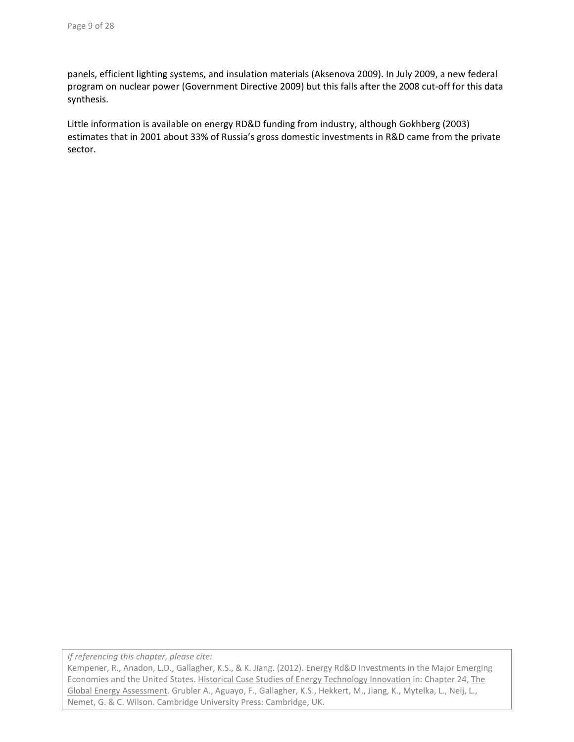panels, efficient lighting systems, and insulation materials (Aksenova 2009). In July 2009, a new federal program on nuclear power (Government Directive 2009) but this falls after the 2008 cut‐off for this data synthesis.

Little information is available on energy RD&D funding from industry, although Gokhberg (2003) estimates that in 2001 about 33% of Russia's gross domestic investments in R&D came from the private sector.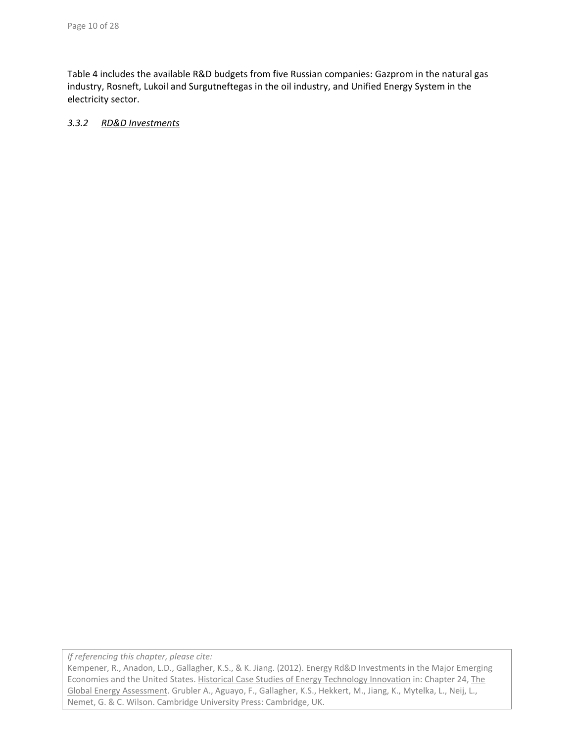Table 4 includes the available R&D budgets from five Russian companies: Gazprom in the natural gas industry, Rosneft, Lukoil and Surgutneftegas in the oil industry, and Unified Energy System in the electricity sector.

### *3.3.2 RD&D Investments*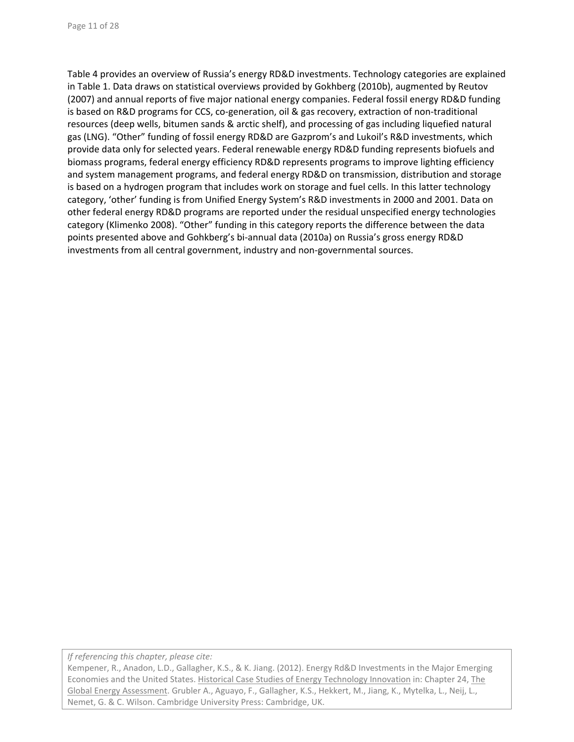Table 4 provides an overview of Russia's energy RD&D investments. Technology categories are explained in Table 1. Data draws on statistical overviews provided by Gokhberg (2010b), augmented by Reutov (2007) and annual reports of five major national energy companies. Federal fossil energy RD&D funding is based on R&D programs for CCS, co-generation, oil & gas recovery, extraction of non-traditional resources (deep wells, bitumen sands & arctic shelf), and processing of gas including liquefied natural gas (LNG). "Other" funding of fossil energy RD&D are Gazprom's and Lukoil's R&D investments, which provide data only for selected years. Federal renewable energy RD&D funding represents biofuels and biomass programs, federal energy efficiency RD&D represents programs to improve lighting efficiency and system management programs, and federal energy RD&D on transmission, distribution and storage is based on a hydrogen program that includes work on storage and fuel cells. In this latter technology category, 'other' funding is from Unified Energy System's R&D investments in 2000 and 2001. Data on other federal energy RD&D programs are reported under the residual unspecified energy technologies category (Klimenko 2008). "Other" funding in this category reports the difference between the data points presented above and Gohkberg's bi‐annual data (2010a) on Russia's gross energy RD&D investments from all central government, industry and non-governmental sources.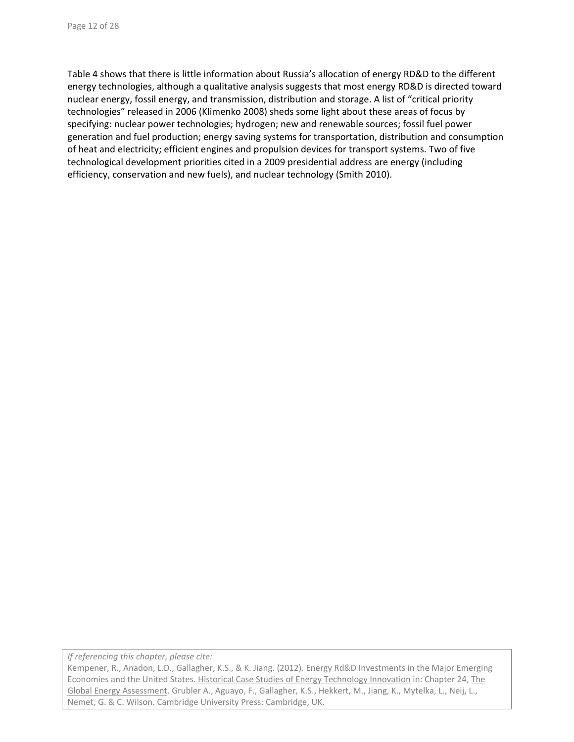Table 4 shows that there is little information about Russia's allocation of energy RD&D to the different energy technologies, although a qualitative analysis suggests that most energy RD&D is directed toward nuclear energy, fossil energy, and transmission, distribution and storage. A list of "critical priority technologies" released in 2006 (Klimenko 2008) sheds some light about these areas of focus by specifying: nuclear power technologies; hydrogen; new and renewable sources; fossil fuel power generation and fuel production; energy saving systems for transportation, distribution and consumption of heat and electricity; efficient engines and propulsion devices for transport systems. Two of five technological development priorities cited in a 2009 presidential address are energy (including efficiency, conservation and new fuels), and nuclear technology (Smith 2010).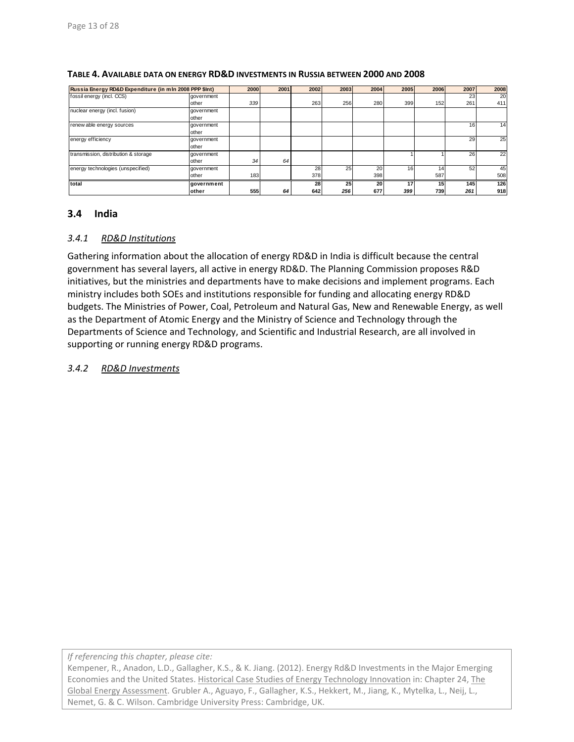| Russia Energy RD&D Expenditure (in mln 2008 PPP \$Int) |               | 2000 | 2001 | 2002 | 2003 | 2004      | 2005 | 2006 | 2007 | 2008 |
|--------------------------------------------------------|---------------|------|------|------|------|-----------|------|------|------|------|
| fossil energy (incl. CCS)                              | government    |      |      |      |      |           |      |      | 23   | 20   |
|                                                        | other         | 339  |      | 263  | 256  | 280       | 399  | 152  | 261  | 411  |
| nuclear energy (incl. fusion)                          | government    |      |      |      |      |           |      |      |      |      |
|                                                        | other         |      |      |      |      |           |      |      |      |      |
| renew able energy sources                              | government    |      |      |      |      |           |      |      | 16   | 14   |
|                                                        | other         |      |      |      |      |           |      |      |      |      |
| energy efficiency                                      | government    |      |      |      |      |           |      |      | 29   | 25   |
|                                                        | other         |      |      |      |      |           |      |      |      |      |
| transmission, distribution & storage                   | government    |      |      |      |      |           |      |      | 26   | 22   |
|                                                        | other         | 34   | 64   |      |      |           |      |      |      |      |
| energy technologies (unspecified)                      | government    |      |      | 28   | 25   | <b>20</b> | 16   | 14   | 52   | 45   |
|                                                        | other         | 183  |      | 378  |      | 398       |      | 587  |      | 508  |
| total                                                  | Igovernment   |      |      | 28   | 25   | 20        | 17   | 15   | 145  | 126  |
|                                                        | <b>lother</b> | 555  | 64   | 642  | 256  | 677       | 399  | 739  | 261  | 918  |

#### **TABLE 4. AVAILABLE DATA ON ENERGY RD&D INVESTMENTS IN RUSSIA BETWEEN 2000 AND 2008**

# **3.4 India**

#### *3.4.1 RD&D Institutions*

Gathering information about the allocation of energy RD&D in India is difficult because the central government has several layers, all active in energy RD&D. The Planning Commission proposes R&D initiatives, but the ministries and departments have to make decisions and implement programs. Each ministry includes both SOEs and institutions responsible for funding and allocating energy RD&D budgets. The Ministries of Power, Coal, Petroleum and Natural Gas, New and Renewable Energy, as well as the Department of Atomic Energy and the Ministry of Science and Technology through the Departments of Science and Technology, and Scientific and Industrial Research, are all involved in supporting or running energy RD&D programs.

### *3.4.2 RD&D Investments*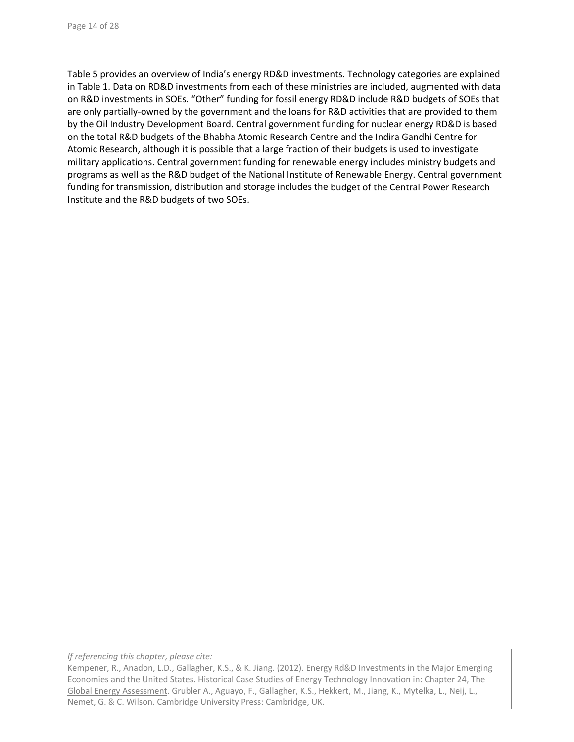Table 5 provides an overview of India's energy RD&D investments. Technology categories are explained in Table 1. Data on RD&D investments from each of these ministries are included, augmented with data on R&D investments in SOEs. "Other" funding for fossil energy RD&D include R&D budgets of SOEs that are only partially-owned by the government and the loans for R&D activities that are provided to them by the Oil Industry Development Board. Central government funding for nuclear energy RD&D is based on the total R&D budgets of the Bhabha Atomic Research Centre and the Indira Gandhi Centre for Atomic Research, although it is possible that a large fraction of their budgets is used to investigate military applications. Central government funding for renewable energy includes ministry budgets and programs as well as the R&D budget of the National Institute of Renewable Energy. Central government funding for transmission, distribution and storage includes the budget of the Central Power Research Institute and the R&D budgets of two SOEs.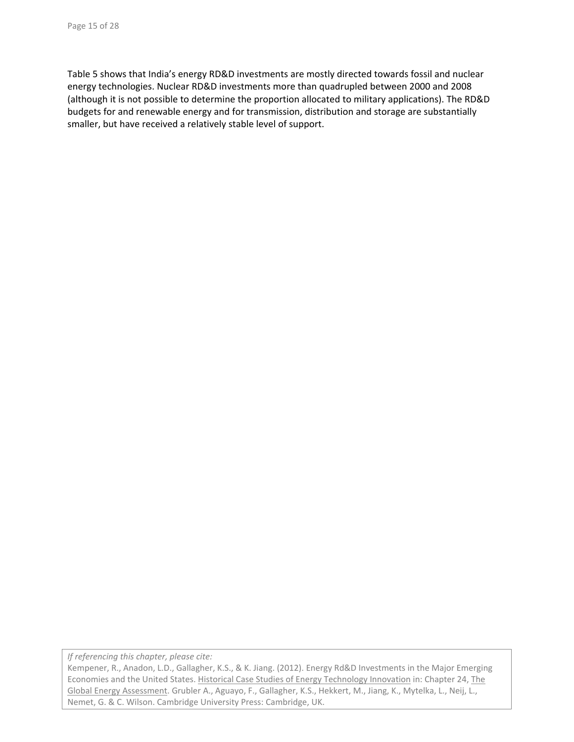Table 5 shows that India's energy RD&D investments are mostly directed towards fossil and nuclear energy technologies. Nuclear RD&D investments more than quadrupled between 2000 and 2008 (although it is not possible to determine the proportion allocated to military applications). The RD&D budgets for and renewable energy and for transmission, distribution and storage are substantially smaller, but have received a relatively stable level of support.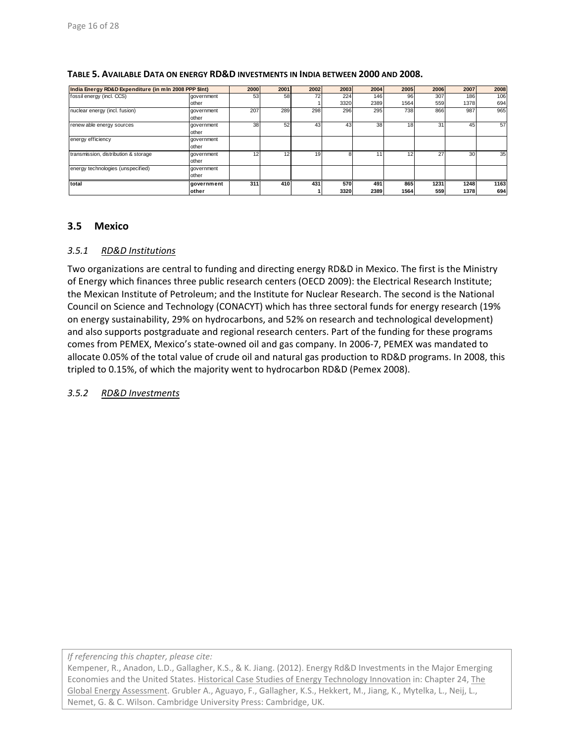| India Energy RD&D Expenditure (in mln 2008 PPP \$Int) |            | <b>2000</b> | 2001 | 2002 | 2003 | 2004 | 2005 | 2006 | 2007 | 2008 |
|-------------------------------------------------------|------------|-------------|------|------|------|------|------|------|------|------|
| fossil energy (incl. CCS)                             | aovernment | 53          | 58   | 72   | 224  | 146  | 96   | 307  | 186  | 106  |
|                                                       | other      |             |      |      | 3320 | 2389 | 1564 | 559  | 1378 | 694  |
| nuclear energy (incl. fusion)                         | government | 207         | 289  | 298  | 296  | 295  | 738  | 866  | 987  | 965  |
|                                                       | other      |             |      |      |      |      |      |      |      |      |
| renew able energy sources                             | government | 38          | 52   | 43   | 43   | 38   | 18   | 31   | 45   | 57   |
|                                                       | other      |             |      |      |      |      |      |      |      |      |
| energy efficiency                                     | aovernment |             |      |      |      |      |      |      |      |      |
|                                                       | other      |             |      |      |      |      |      |      |      |      |
| transmission, distribution & storage                  | government | 12          |      | 19   |      |      | 12   | 27   | 30   | 35   |
|                                                       | other      |             |      |      |      |      |      |      |      |      |
| energy technologies (unspecified)                     | government |             |      |      |      |      |      |      |      |      |
|                                                       | other      |             |      |      |      |      |      |      |      |      |
| total                                                 | government | 311         | 410  | 431  | 570  | 491  | 865  | 1231 | 1248 | 1163 |
|                                                       | other      |             |      |      | 3320 | 2389 | 1564 | 559  | 1378 | 694  |

#### **TABLE 5. AVAILABLE DATA ON ENERGY RD&D INVESTMENTS IN INDIA BETWEEN 2000 AND 2008.**

### **3.5 Mexico**

### *3.5.1 RD&D Institutions*

Two organizations are central to funding and directing energy RD&D in Mexico. The first is the Ministry of Energy which finances three public research centers (OECD 2009): the Electrical Research Institute; the Mexican Institute of Petroleum; and the Institute for Nuclear Research. The second is the National Council on Science and Technology (CONACYT) which has three sectoral funds for energy research (19% on energy sustainability, 29% on hydrocarbons, and 52% on research and technological development) and also supports postgraduate and regional research centers. Part of the funding for these programs comes from PEMEX, Mexico's state‐owned oil and gas company. In 2006‐7, PEMEX was mandated to allocate 0.05% of the total value of crude oil and natural gas production to RD&D programs. In 2008, this tripled to 0.15%, of which the majority went to hydrocarbon RD&D (Pemex 2008).

#### *3.5.2 RD&D Investments*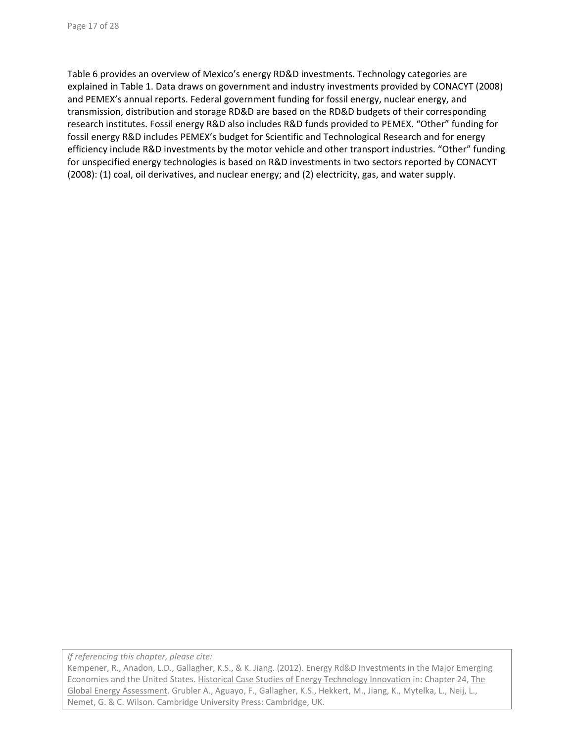Table 6 provides an overview of Mexico's energy RD&D investments. Technology categories are explained in Table 1. Data draws on government and industry investments provided by CONACYT (2008) and PEMEX's annual reports. Federal government funding for fossil energy, nuclear energy, and transmission, distribution and storage RD&D are based on the RD&D budgets of their corresponding research institutes. Fossil energy R&D also includes R&D funds provided to PEMEX. "Other" funding for fossil energy R&D includes PEMEX's budget for Scientific and Technological Research and for energy efficiency include R&D investments by the motor vehicle and other transport industries. "Other" funding for unspecified energy technologies is based on R&D investments in two sectors reported by CONACYT (2008): (1) coal, oil derivatives, and nuclear energy; and (2) electricity, gas, and water supply.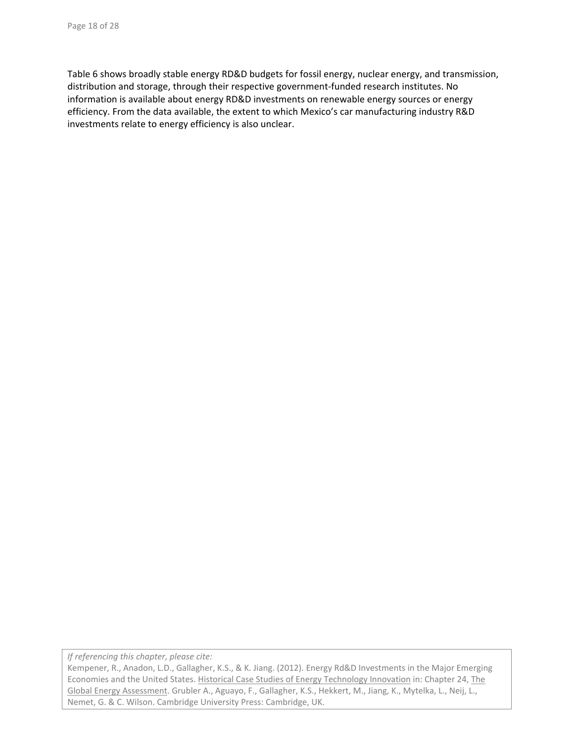Table 6 shows broadly stable energy RD&D budgets for fossil energy, nuclear energy, and transmission, distribution and storage, through their respective government-funded research institutes. No information is available about energy RD&D investments on renewable energy sources or energy efficiency. From the data available, the extent to which Mexico's car manufacturing industry R&D investments relate to energy efficiency is also unclear.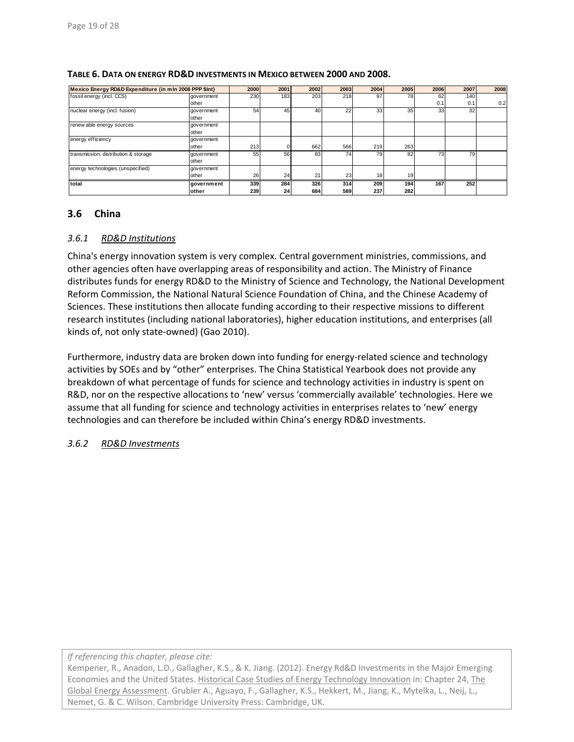| Mexico Energy RD&D Expenditure (in mln 2008 PPP \$Int) |               | 2000 | 2001            | 2002            | 2003            | 2004 | 2005 | 2006 | 2007 | 2008 |
|--------------------------------------------------------|---------------|------|-----------------|-----------------|-----------------|------|------|------|------|------|
| fossil energy (incl. CCS)                              | government    | 230  | 183             | 203             | 218             | 97   | 78   | 62   | 140  |      |
|                                                        | other         |      |                 |                 |                 |      |      | 0.1  | 0.1  | 0.2  |
| nuclear energy (incl. fusion)                          | aovernment    | 54   | 45              | 40 <sup>1</sup> | 22              | 33   | 35   | 33   | 32   |      |
|                                                        | other         |      |                 |                 |                 |      |      |      |      |      |
| renew able energy sources                              | government    |      |                 |                 |                 |      |      |      |      |      |
|                                                        | other         |      |                 |                 |                 |      |      |      |      |      |
| energy efficiency                                      | government    |      |                 |                 |                 |      |      |      |      |      |
|                                                        | other         | 213  |                 | 662             | 566             | 219  | 263  |      |      |      |
| transmission, distribution & storage                   | government    | 55   | 56              | 83              | 74 <sub>1</sub> | 79   | 82   | 73   | 79   |      |
|                                                        | other         |      |                 |                 |                 |      |      |      |      |      |
| energy technologies (unspecified)                      | government    |      |                 |                 |                 |      |      |      |      |      |
|                                                        | other         | 26   | 24              | 21              | 23              | 18   | 19   |      |      |      |
| total                                                  | government    | 339  | 284             | 326             | 314             | 209  | 194  | 167  | 252  |      |
|                                                        | <b>lother</b> | 239  | 24 <sub>1</sub> | 684             | 589             | 237  | 282  |      |      |      |

#### **TABLE 6. DATA ON ENERGY RD&D INVESTMENTS IN MEXICO BETWEEN 2000 AND 2008.**

### **3.6 China**

#### *3.6.1 RD&D Institutions*

China's energy innovation system is very complex. Central government ministries, commissions, and other agencies often have overlapping areas of responsibility and action. The Ministry of Finance distributes funds for energy RD&D to the Ministry of Science and Technology, the National Development Reform Commission, the National Natural Science Foundation of China, and the Chinese Academy of Sciences. These institutions then allocate funding according to their respective missions to different research institutes (including national laboratories), higher education institutions, and enterprises (all kinds of, not only state‐owned) (Gao 2010).

Furthermore, industry data are broken down into funding for energy-related science and technology activities by SOEs and by "other" enterprises. The China Statistical Yearbook does not provide any breakdown of what percentage of funds for science and technology activities in industry is spent on R&D, nor on the respective allocations to 'new' versus 'commercially available' technologies. Here we assume that all funding for science and technology activities in enterprises relates to 'new' energy technologies and can therefore be included within China's energy RD&D investments.

#### *3.6.2 RD&D Investments*

*If referencing this chapter, please cite:*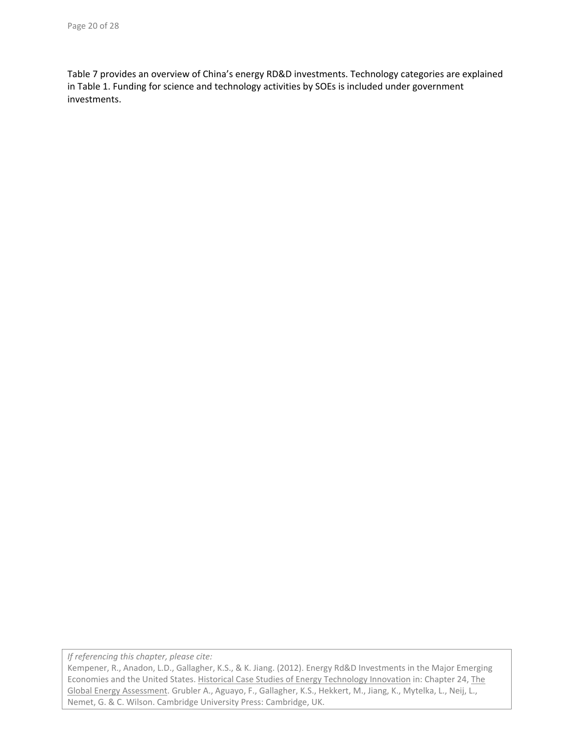Table 7 provides an overview of China's energy RD&D investments. Technology categories are explained in Table 1. Funding for science and technology activities by SOEs is included under government investments.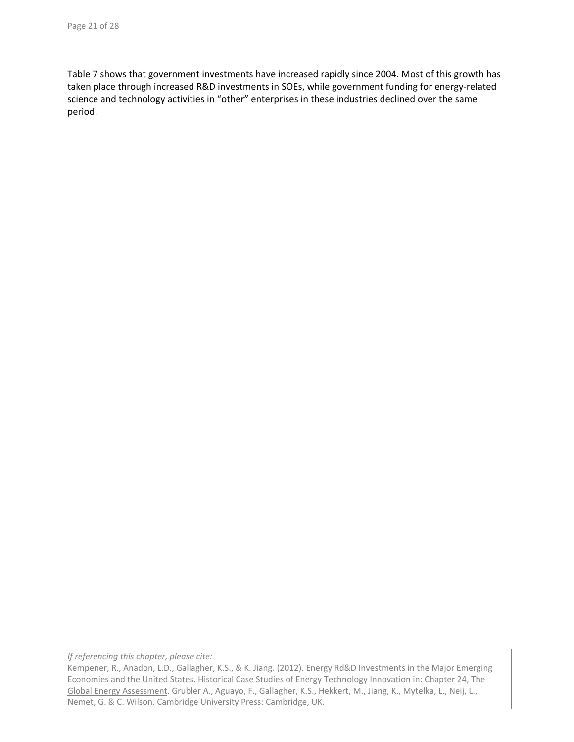Table 7 shows that government investments have increased rapidly since 2004. Most of this growth has taken place through increased R&D investments in SOEs, while government funding for energy-related science and technology activities in "other" enterprises in these industries declined over the same period.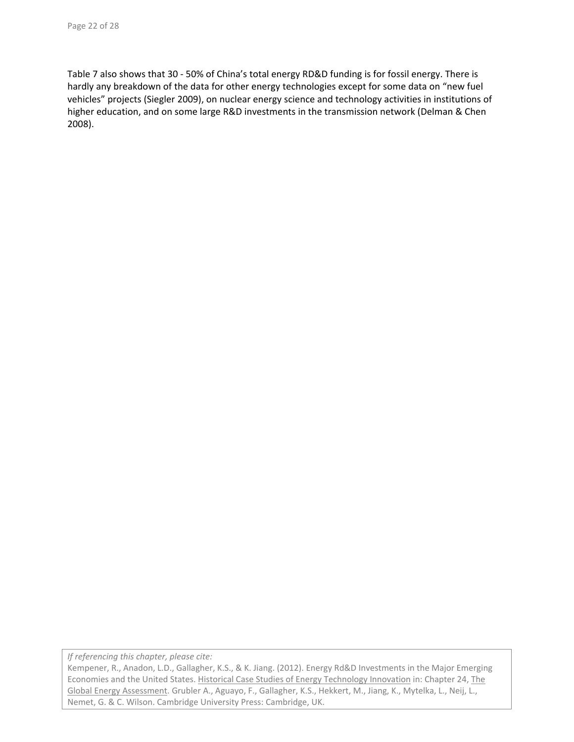Table 7 also shows that 30 ‐ 50% of China's total energy RD&D funding is for fossil energy. There is hardly any breakdown of the data for other energy technologies except for some data on "new fuel vehicles" projects (Siegler 2009), on nuclear energy science and technology activities in institutions of higher education, and on some large R&D investments in the transmission network (Delman & Chen 2008).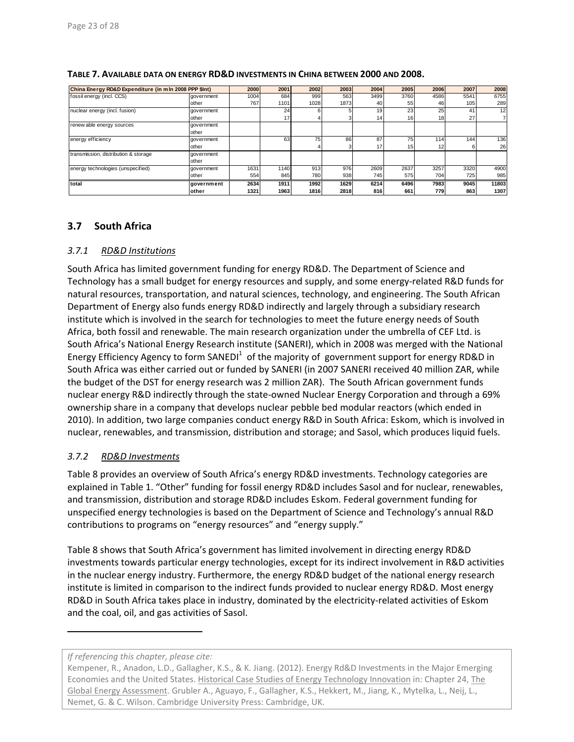| China Energy RD&D Expenditure (in m In 2008 PPP \$Int) |            | 2000 | 2001 | 2002 | 2003 | 2004 | 2005            | 2006            | 2007 | 2008  |
|--------------------------------------------------------|------------|------|------|------|------|------|-----------------|-----------------|------|-------|
| fossil energy (incl. CCS)                              | government | 1004 | 684  | 999  | 563  | 3499 | 3760            | 4586            | 5541 | 6755  |
|                                                        | other      | 767  | 1101 | 1028 | 1873 | 40   | 55              | 46              | 105  | 289   |
| nuclear energy (incl. fusion)                          | government |      | 24   |      |      | 19   | 23              | 25 <sub>1</sub> | 41   | 12    |
|                                                        | other      |      | 17)  |      |      | 14I  | 16              | 18              | 27   |       |
| renew able energy sources                              | government |      |      |      |      |      |                 |                 |      |       |
|                                                        | other      |      |      |      |      |      |                 |                 |      |       |
| energy efficiency                                      | government |      | 63   | 75   | 86   | 87   | 75              | 114             | 144  | 136   |
|                                                        | other      |      |      |      |      |      | 15 <sub>1</sub> | 12              |      | 26    |
| transmission, distribution & storage                   | government |      |      |      |      |      |                 |                 |      |       |
|                                                        | other      |      |      |      |      |      |                 |                 |      |       |
| energy technologies (unspecified)                      | government | 1631 | 1140 | 913  | 976  | 2609 | 2637            | 3257            | 3320 | 4900  |
|                                                        | other      | 554  | 845  | 780  | 938  | 745  | 575             | 704             | 725  | 985   |
| total                                                  | government | 2634 | 1911 | 1992 | 1629 | 6214 | 6496            | 7983            | 9045 | 11803 |
|                                                        | lother     | 1321 | 1963 | 1816 | 2818 | 816  | 661             | 779             | 863  | 1307  |

#### **TABLE 7. AVAILABLE DATA ON ENERGY RD&D INVESTMENTS IN CHINA BETWEEN 2000 AND 2008.**

# **3.7 South Africa**

# *3.7.1 RD&D Institutions*

South Africa has limited government funding for energy RD&D. The Department of Science and Technology has a small budget for energy resources and supply, and some energy-related R&D funds for natural resources, transportation, and natural sciences, technology, and engineering. The South African Department of Energy also funds energy RD&D indirectly and largely through a subsidiary research institute which is involved in the search for technologies to meet the future energy needs of South Africa, both fossil and renewable. The main research organization under the umbrella of CEF Ltd. is South Africa's National Energy Research institute (SANERI), which in 2008 was merged with the National Energy Efficiency Agency to form SANEDI $^1$  of the majority of government support for energy RD&D in South Africa was either carried out or funded by SANERI (in 2007 SANERI received 40 million ZAR, while the budget of the DST for energy research was 2 million ZAR). The South African government funds nuclear energy R&D indirectly through the state‐owned Nuclear Energy Corporation and through a 69% ownership share in a company that develops nuclear pebble bed modular reactors (which ended in 2010). In addition, two large companies conduct energy R&D in South Africa: Eskom, which is involved in nuclear, renewables, and transmission, distribution and storage; and Sasol, which produces liquid fuels.

# *3.7.2 RD&D Investments*

Table 8 provides an overview of South Africa's energy RD&D investments. Technology categories are explained in Table 1. "Other" funding for fossil energy RD&D includes Sasol and for nuclear, renewables, and transmission, distribution and storage RD&D includes Eskom. Federal government funding for unspecified energy technologies is based on the Department of Science and Technology's annual R&D contributions to programs on "energy resources" and "energy supply."

Table 8 shows that South Africa's government has limited involvement in directing energy RD&D investments towards particular energy technologies, except for its indirect involvement in R&D activities in the nuclear energy industry. Furthermore, the energy RD&D budget of the national energy research institute is limited in comparison to the indirect funds provided to nuclear energy RD&D. Most energy RD&D in South Africa takes place in industry, dominated by the electricity-related activities of Eskom and the coal, oil, and gas activities of Sasol.

*If referencing this chapter, please cite:*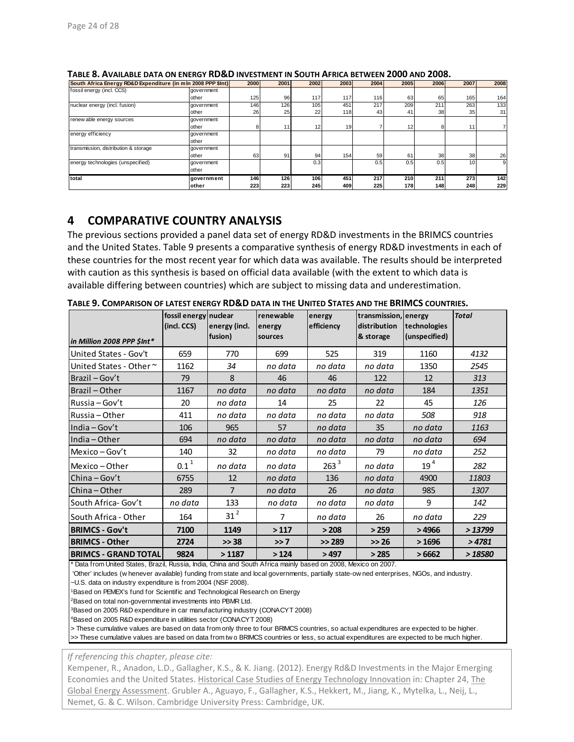|                                      | South Africa Energy RD&D Expenditure (in mln 2008 PPP \$Int) |     | <b>2000</b><br>2001 | 2002 | 2003 | 2004 | 2005 | 2006            | 2007            | 2008 |
|--------------------------------------|--------------------------------------------------------------|-----|---------------------|------|------|------|------|-----------------|-----------------|------|
| fossil energy (incl. CCS)            | government                                                   |     |                     |      |      |      |      |                 |                 |      |
|                                      | other                                                        | 125 | 96                  | 117  | 117  | 116  | 63   | 65              | 165             | 164  |
| nuclear energy (incl. fusion)        | government                                                   | 146 | 126                 | 105  | 451  | 217  | 209  | 211             | 263             | 133  |
|                                      | other                                                        | 26  | 25                  | 22   | 118  | 43   | 41   | 38              | 35              | 31   |
| renew able energy sources            | government                                                   |     |                     |      |      |      |      |                 |                 |      |
|                                      | other                                                        | 8   |                     | 12   | 19   |      | 12   |                 |                 |      |
| energy efficiency                    | government                                                   |     |                     |      |      |      |      |                 |                 |      |
|                                      | other                                                        |     |                     |      |      |      |      |                 |                 |      |
| transmission, distribution & storage | government                                                   |     |                     |      |      |      |      |                 |                 |      |
|                                      | other                                                        | 63  | 91                  | 94   | 154  | 59   | 61   | 38 <sup>1</sup> | 38 <sup>1</sup> | 26   |
| energy technologies (unspecified)    | government                                                   |     |                     | 0.3  |      | 0.5  | 0.5  | 0.5             | 10 <sub>1</sub> | 9    |
|                                      | other                                                        |     |                     |      |      |      |      |                 |                 |      |
| total                                | government                                                   | 146 | 126                 | 106  | 451  | 217  | 210  | 211             | 273             | 142  |
|                                      | other                                                        | 223 | 223                 | 245  | 409  | 225  | 178  | 148             | 248             | 229  |

**TABLE 8. AVAILABLE DATA ON ENERGY RD&D INVESTMENT IN SOUTH AFRICA BETWEEN 2000 AND 2008.**

# **4 COMPARATIVE COUNTRY ANALYSIS**

The previous sections provided a panel data set of energy RD&D investments in the BRIMCS countries and the United States. Table 9 presents a comparative synthesis of energy RD&D investments in each of these countries for the most recent year for which data was available. The results should be interpreted with caution as this synthesis is based on official data available (with the extent to which data is available differing between countries) which are subject to missing data and underestimation.

|                             | fossil energy nuclear<br>(incl. CCS) | energy (incl.  | renewable<br>energy | energy<br>efficiency | transmission, energy<br>distribution | technologies    | <b>Total</b> |
|-----------------------------|--------------------------------------|----------------|---------------------|----------------------|--------------------------------------|-----------------|--------------|
| in Million 2008 PPP \$Int*  |                                      | fusion)        | sources             |                      | & storage                            | (unspecified)   |              |
| United States - Gov't       | 659                                  | 770            | 699                 | 525                  | 319                                  | 1160            | 4132         |
| United States - Other~      | 1162                                 | 34             | no data             | no data              | no data                              | 1350            | 2545         |
| Brazil - Gov't              | 79                                   | 8              | 46                  | 46                   | 122                                  | 12              | 313          |
| Brazil-Other                | 1167                                 | no data        | no data             | no data              | no data                              | 184             | 1351         |
| Russia – Gov't              | 20                                   | no data        | 14                  | 25                   | 22                                   | 45              | 126          |
| Russia - Other              | 411                                  | no data        | no data             | no data              | no data                              | 508             | 918          |
| India $-Gov't$              | 106                                  | 965            | 57                  | no data              | 35                                   | no data         | 1163         |
| India - Other               | 694                                  | no data        | no data             | no data              | no data                              | no data         | 694          |
| Mexico – Gov't              | 140                                  | 32             | no data             | no data              | 79                                   | no data         | 252          |
| Mexico-Other                | $0.1^{1}$                            | no data        | no data             | $263^3$              | no data                              | 19 <sup>4</sup> | 282          |
| $China-Gov't$               | 6755                                 | 12             | no data             | 136                  | no data                              | 4900            | 11803        |
| China-Other                 | 289                                  | $\overline{7}$ | no data             | 26                   | no data                              | 985             | 1307         |
| South Africa- Gov't         | no data                              | 133            | no data             | no data              | no data                              | 9               | 142          |
| South Africa - Other        | 164                                  | $31^2$         | $\overline{7}$      | no data              | 26                                   | no data         | 229          |
| <b>BRIMCS - Gov't</b>       | 7100                                 | 1149           | >117                | > 208                | >259                                 | >4966           | >13799       |
| <b>BRIMCS - Other</b>       | 2724                                 | >> 38          | >> 7                | >> 289               | >> 26                                | >1696           | >4781        |
| <b>BRIMCS - GRAND TOTAL</b> | 9824                                 | >1187          | >124                | >497                 | >285                                 | >6662           | >18580       |

**TABLE 9. COMPARISON OF LATEST ENERGY RD&D DATA IN THE UNITED STATES AND THE BRIMCS COUNTRIES.**

Data from United States, Brazil, Russia, India, China and South Africa mainly based on 2008, Mexico on 2007.

 'Other' includes (w henever available) funding from state and local governments, partially state-ow ned enterprises, NGOs, and industry. ~U.S. data on industry expenditure is from 2004 (NSF 2008).

1Based on PEMEX's fund for Scientific and Technological Research on Energy

2Based on total non-governmental investments into PBMR Ltd.

3Based on 2005 R&D expenditure in car manufacturing industry (CONACYT 2008)

4Based on 2005 R&D expenditure in utilities sector (CONACYT 2008)

> These cumulative values are based on data from only three to four BRIMCS countries, so actual expenditures are expected to be higher. >> These cumulative values are based on data from tw o BRIMCS countries or less, so actual expenditures are expected to be much higher.

*If referencing this chapter, please cite:*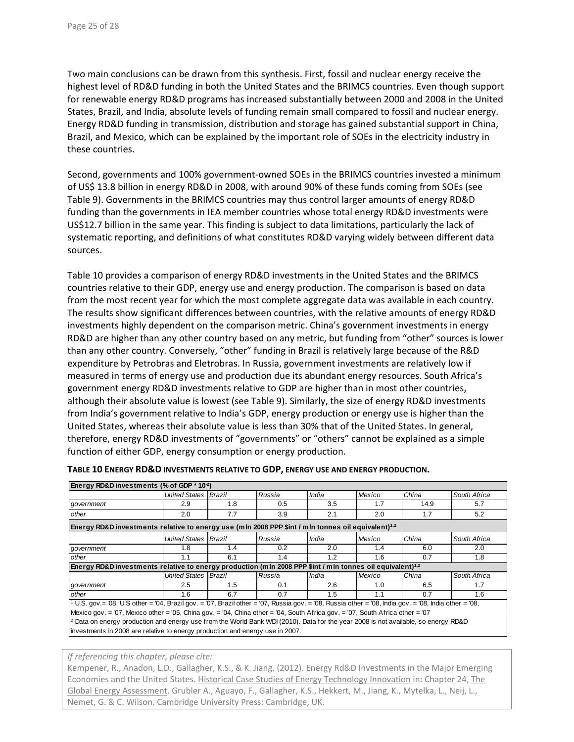Two main conclusions can be drawn from this synthesis. First, fossil and nuclear energy receive the highest level of RD&D funding in both the United States and the BRIMCS countries. Even though support for renewable energy RD&D programs has increased substantially between 2000 and 2008 in the United States, Brazil, and India, absolute levels of funding remain small compared to fossil and nuclear energy. Energy RD&D funding in transmission, distribution and storage has gained substantial support in China, Brazil, and Mexico, which can be explained by the important role of SOEs in the electricity industry in these countries.

Second, governments and 100% government‐owned SOEs in the BRIMCS countries invested a minimum of US\$ 13.8 billion in energy RD&D in 2008, with around 90% of these funds coming from SOEs (see Table 9). Governments in the BRIMCS countries may thus control larger amounts of energy RD&D funding than the governments in IEA member countries whose total energy RD&D investments were US\$12.7 billion in the same year. This finding is subject to data limitations, particularly the lack of systematic reporting, and definitions of what constitutes RD&D varying widely between different data sources.

Table 10 provides a comparison of energy RD&D investments in the United States and the BRIMCS countries relative to their GDP, energy use and energy production. The comparison is based on data from the most recent year for which the most complete aggregate data was available in each country. The results show significant differences between countries, with the relative amounts of energy RD&D investments highly dependent on the comparison metric. China's government investments in energy RD&D are higher than any other country based on any metric, but funding from "other" sources is lower than any other country. Conversely, "other" funding in Brazil is relatively large because of the R&D expenditure by Petrobras and Eletrobras. In Russia, government investments are relatively low if measured in terms of energy use and production due its abundant energy resources. South Africa's government energy RD&D investments relative to GDP are higher than in most other countries, although their absolute value is lowest (see Table 9). Similarly, the size of energy RD&D investments from India's government relative to India's GDP, energy production or energy use is higher than the United States, whereas their absolute value is less than 30% that of the United States. In general, therefore, energy RD&D investments of "governments" or "others" cannot be explained as a simple function of either GDP, energy consumption or energy production.

| Energy RD&D investments (% of GDP * 10 <sup>-2</sup> )                                                                                             |                      |     |        |       |        |       |              |  |  |  |  |  |
|----------------------------------------------------------------------------------------------------------------------------------------------------|----------------------|-----|--------|-------|--------|-------|--------------|--|--|--|--|--|
|                                                                                                                                                    | United States Brazil |     | Russia | India | Mexico | China | South Africa |  |  |  |  |  |
| government                                                                                                                                         | 2.9                  | 1.8 | 0.5    | 3.5   | 1.7    | 14.9  | 5.7          |  |  |  |  |  |
| other                                                                                                                                              | 2.0                  | 7.7 | 3.9    | 2.1   | 2.0    | 1.7   | 5.2          |  |  |  |  |  |
| Energy RD&D investments relative to energy use (mln 2008 PPP \$int / mln tonnes oil equivalent) <sup>1,2</sup>                                     |                      |     |        |       |        |       |              |  |  |  |  |  |
|                                                                                                                                                    | United States Brazil |     | Russia | India | Mexico | China | South Africa |  |  |  |  |  |
| qovernment                                                                                                                                         | 1.8                  | 1.4 | 0.2    | 2.0   | 1.4    | 6.0   | 2.0          |  |  |  |  |  |
| other                                                                                                                                              | 1.1                  | 6.1 | 1.4    | 1.2   | 1.6    | 0.7   | 1.8          |  |  |  |  |  |
| Energy RD&D investments relative to energy production (mln 2008 PPP \$int / mln tonnes oil equivalent) <sup>1,2</sup>                              |                      |     |        |       |        |       |              |  |  |  |  |  |
|                                                                                                                                                    | United States Brazil |     | Russia | India | Mexico | China | South Africa |  |  |  |  |  |
| qovernment                                                                                                                                         | 2.5                  | 1.5 | 0.1    | 2.6   | 1.0    | 6.5   | 1.7          |  |  |  |  |  |
| other                                                                                                                                              | 1.6                  | 6.7 | 0.7    | 1.5   | 1.1    | 0.7   | 1.6          |  |  |  |  |  |
| $10.5$ gov = '08, U.S other = '04, Brazil gov = '07, Brazil other = '07, Russia gov = '08, Russia other = '08, India gov = '08, India other = '08, |                      |     |        |       |        |       |              |  |  |  |  |  |
| Mexico gov. = '07, Mexico other = '05, China gov. = '04, China other = '04, South Africa gov. = '07, South Africa other = '07                      |                      |     |        |       |        |       |              |  |  |  |  |  |
| <sup>2</sup> Data on energy production and energy use from the World Bank WDI (2010). Data for the year 2008 is not available, so energy RD&D      |                      |     |        |       |        |       |              |  |  |  |  |  |
| investments in 2008 are relative to energy production and energy use in 2007.                                                                      |                      |     |        |       |        |       |              |  |  |  |  |  |

**TABLE 10 ENERGY RD&D INVESTMENTS RELATIVE TO GDP, ENERGY USE AND ENERGY PRODUCTION.**

#### *If referencing this chapter, please cite:*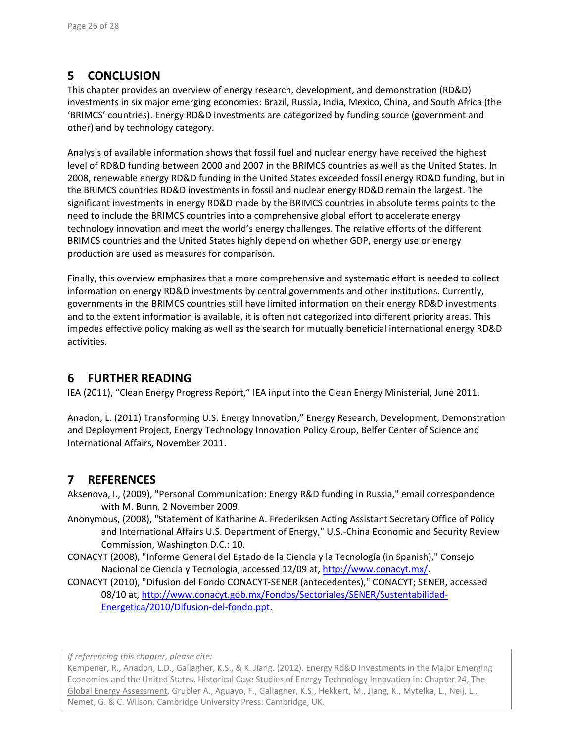# **5 CONCLUSION**

This chapter provides an overview of energy research, development, and demonstration (RD&D) investments in six major emerging economies: Brazil, Russia, India, Mexico, China, and South Africa (the 'BRIMCS' countries). Energy RD&D investments are categorized by funding source (government and other) and by technology category.

Analysis of available information shows that fossil fuel and nuclear energy have received the highest level of RD&D funding between 2000 and 2007 in the BRIMCS countries as well as the United States. In 2008, renewable energy RD&D funding in the United States exceeded fossil energy RD&D funding, but in the BRIMCS countries RD&D investments in fossil and nuclear energy RD&D remain the largest. The significant investments in energy RD&D made by the BRIMCS countries in absolute terms points to the need to include the BRIMCS countries into a comprehensive global effort to accelerate energy technology innovation and meet the world's energy challenges. The relative efforts of the different BRIMCS countries and the United States highly depend on whether GDP, energy use or energy production are used as measures for comparison.

Finally, this overview emphasizes that a more comprehensive and systematic effort is needed to collect information on energy RD&D investments by central governments and other institutions. Currently, governments in the BRIMCS countries still have limited information on their energy RD&D investments and to the extent information is available, it is often not categorized into different priority areas. This impedes effective policy making as well as the search for mutually beneficial international energy RD&D activities.

# **6 FURTHER READING**

IEA (2011), "Clean Energy Progress Report," IEA input into the Clean Energy Ministerial, June 2011.

Anadon, L. (2011) Transforming U.S. Energy Innovation," Energy Research, Development, Demonstration and Deployment Project, Energy Technology Innovation Policy Group, Belfer Center of Science and International Affairs, November 2011.

# **7 REFERENCES**

Aksenova, I., (2009), "Personal Communication: Energy R&D funding in Russia," email correspondence with M. Bunn, 2 November 2009.

- Anonymous, (2008), "Statement of Katharine A. Frederiksen Acting Assistant Secretary Office of Policy and International Affairs U.S. Department of Energy," U.S.‐China Economic and Security Review Commission, Washington D.C.: 10.
- CONACYT (2008), "Informe General del Estado de la Ciencia y la Tecnología (in Spanish)," Consejo Nacional de Ciencia y Tecnologia, accessed 12/09 at, http://www.conacyt.mx/.
- CONACYT (2010), "Difusion del Fondo CONACYT‐SENER (antecedentes)," CONACYT; SENER, accessed 08/10 at, http://www.conacyt.gob.mx/Fondos/Sectoriales/SENER/Sustentabilidad‐ Energetica/2010/Difusion‐del‐fondo.ppt.

*If referencing this chapter, please cite:*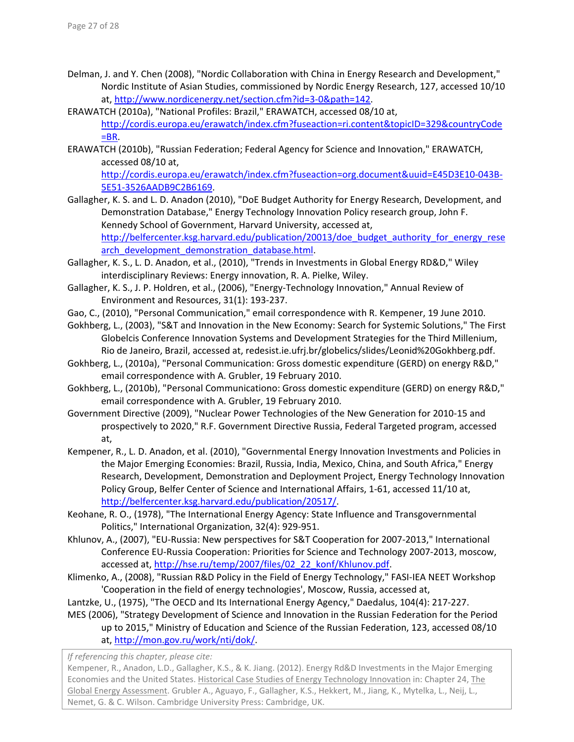- Delman, J. and Y. Chen (2008), "Nordic Collaboration with China in Energy Research and Development," Nordic Institute of Asian Studies, commissioned by Nordic Energy Research, 127, accessed 10/10 at, http://www.nordicenergy.net/section.cfm?id=3‐0&path=142.
- ERAWATCH (2010a), "National Profiles: Brazil," ERAWATCH, accessed 08/10 at, http://cordis.europa.eu/erawatch/index.cfm?fuseaction=ri.content&topicID=329&countryCode  $=$ BR.
- ERAWATCH (2010b), "Russian Federation; Federal Agency for Science and Innovation," ERAWATCH, accessed 08/10 at,

http://cordis.europa.eu/erawatch/index.cfm?fuseaction=org.document&uuid=E45D3E10‐043B‐ 5E51‐3526AADB9C2B6169.

- Gallagher, K. S. and L. D. Anadon (2010), "DoE Budget Authority for Energy Research, Development, and Demonstration Database," Energy Technology Innovation Policy research group, John F. Kennedy School of Government, Harvard University, accessed at, http://belfercenter.ksg.harvard.edu/publication/20013/doe\_budget\_authority\_for\_energy\_rese arch development demonstration database.html.
- Gallagher, K. S., L. D. Anadon, et al., (2010), "Trends in Investments in Global Energy RD&D," Wiley interdisciplinary Reviews: Energy innovation, R. A. Pielke, Wiley.
- Gallagher, K. S., J. P. Holdren, et al., (2006), "Energy‐Technology Innovation," Annual Review of Environment and Resources, 31(1): 193‐237.
- Gao, C., (2010), "Personal Communication," email correspondence with R. Kempener, 19 June 2010.
- Gokhberg, L., (2003), "S&T and Innovation in the New Economy: Search for Systemic Solutions," The First Globelcis Conference Innovation Systems and Development Strategies for the Third Millenium, Rio de Janeiro, Brazil, accessed at, redesist.ie.ufrj.br/globelics/slides/Leonid%20Gokhberg.pdf.
- Gokhberg, L., (2010a), "Personal Communication: Gross domestic expenditure (GERD) on energy R&D," email correspondence with A. Grubler, 19 February 2010.
- Gokhberg, L., (2010b), "Personal Communicationo: Gross domestic expenditure (GERD) on energy R&D," email correspondence with A. Grubler, 19 February 2010.
- Government Directive (2009), "Nuclear Power Technologies of the New Generation for 2010‐15 and prospectively to 2020," R.F. Government Directive Russia, Federal Targeted program, accessed at,
- Kempener, R., L. D. Anadon, et al. (2010), "Governmental Energy Innovation Investments and Policies in the Major Emerging Economies: Brazil, Russia, India, Mexico, China, and South Africa," Energy Research, Development, Demonstration and Deployment Project, Energy Technology Innovation Policy Group, Belfer Center of Science and International Affairs, 1‐61, accessed 11/10 at, http://belfercenter.ksg.harvard.edu/publication/20517/.
- Keohane, R. O., (1978), "The International Energy Agency: State Influence and Transgovernmental Politics," International Organization, 32(4): 929‐951.
- Khlunov, A., (2007), "EU‐Russia: New perspectives for S&T Cooperation for 2007‐2013," International Conference EU‐Russia Cooperation: Priorities for Science and Technology 2007‐2013, moscow, accessed at, http://hse.ru/temp/2007/files/02\_22\_konf/Khlunov.pdf.
- Klimenko, A., (2008), "Russian R&D Policy in the Field of Energy Technology," FASI-IEA NEET Workshop 'Cooperation in the field of energy technologies', Moscow, Russia, accessed at,
- Lantzke, U., (1975), "The OECD and Its International Energy Agency," Daedalus, 104(4): 217‐227.
- MES (2006), "Strategy Development of Science and Innovation in the Russian Federation for the Period up to 2015," Ministry of Education and Science of the Russian Federation, 123, accessed 08/10 at, http://mon.gov.ru/work/nti/dok/.

*If referencing this chapter, please cite:*